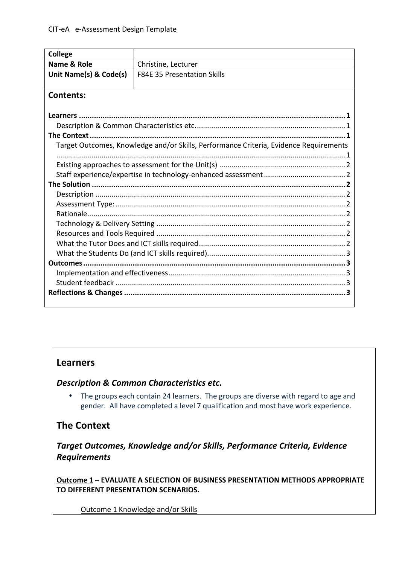| <b>College</b>                                                                        |                                    |
|---------------------------------------------------------------------------------------|------------------------------------|
| Name & Role                                                                           | Christine, Lecturer                |
| Unit Name(s) & Code(s)                                                                | <b>F84E 35 Presentation Skills</b> |
|                                                                                       |                                    |
| <b>Contents:</b>                                                                      |                                    |
|                                                                                       |                                    |
| Learners.                                                                             |                                    |
|                                                                                       |                                    |
| The Context.                                                                          |                                    |
| Target Outcomes, Knowledge and/or Skills, Performance Criteria, Evidence Requirements |                                    |
|                                                                                       |                                    |
|                                                                                       |                                    |
|                                                                                       |                                    |
|                                                                                       |                                    |
|                                                                                       |                                    |
|                                                                                       |                                    |
|                                                                                       |                                    |
|                                                                                       |                                    |
|                                                                                       |                                    |
|                                                                                       |                                    |
|                                                                                       |                                    |
| Outcomes                                                                              |                                    |
|                                                                                       |                                    |
|                                                                                       |                                    |
|                                                                                       |                                    |
|                                                                                       |                                    |

## **Learners**

**Description & Common Characteristics etc.** 

• The groups each contain 24 learners. The groups are diverse with regard to age and gender. All have completed a level 7 qualification and most have work experience.

# **The Context**

**Target Outcomes, Knowledge and/or Skills, Performance Criteria, Evidence** *Requirements*

**Outcome 1 – EVALUATE A SELECTION OF BUSINESS PRESENTATION METHODS APPROPRIATE TO DIFFERENT PRESENTATION SCENARIOS.** 

Outcome 1 Knowledge and/or Skills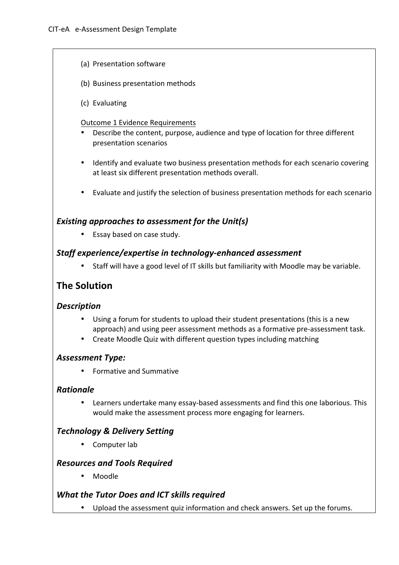- (a) Presentation software
- (b) Business presentation methods
- (c) Evaluating

#### Outcome 1 Evidence Requirements

- Describe the content, purpose, audience and type of location for three different presentation scenarios
- Identify and evaluate two business presentation methods for each scenario covering at least six different presentation methods overall.
- Evaluate and justify the selection of business presentation methods for each scenario

### **Existing approaches to assessment for the Unit(s)**

• Essay based on case study.

### Staff experience/expertise in technology-enhanced assessment

• Staff will have a good level of IT skills but familiarity with Moodle may be variable.

## **The Solution**

### *Description*

- Using a forum for students to upload their student presentations (this is a new approach) and using peer assessment methods as a formative pre-assessment task.
- Create Moodle Quiz with different question types including matching

### *Assessment Type:*

• Formative and Summative

### *Rationale*

• Learners undertake many essay-based assessments and find this one laborious. This would make the assessment process more engaging for learners.

## *Technology & Delivery Setting*

• Computer lab

### *Resources and Tools Required*

• Moodle

### *What the Tutor Does and ICT skills required*

• Upload the assessment quiz information and check answers. Set up the forums.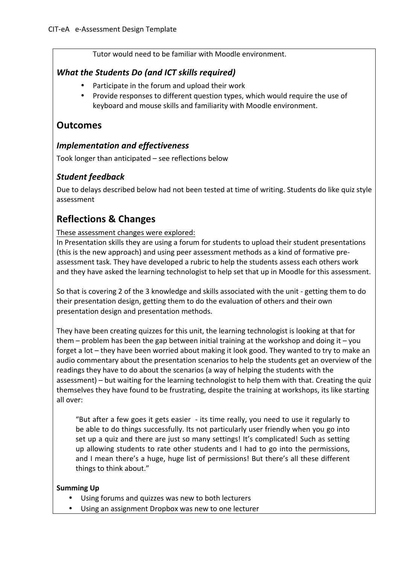Tutor would need to be familiar with Moodle environment.

## *What the Students Do (and ICT skills required)*

- Participate in the forum and upload their work
- Provide responses to different question types, which would require the use of keyboard and mouse skills and familiarity with Moodle environment.

## **Outcomes**

## *Implementation and effectiveness*

Took longer than anticipated - see reflections below

## *Student feedback*

Due to delays described below had not been tested at time of writing. Students do like quiz style assessment

# **Reflections & Changes**

These assessment changes were explored:

In Presentation skills they are using a forum for students to upload their student presentations (this is the new approach) and using peer assessment methods as a kind of formative preassessment task. They have developed a rubric to help the students assess each others work and they have asked the learning technologist to help set that up in Moodle for this assessment.

So that is covering 2 of the 3 knowledge and skills associated with the unit - getting them to do their presentation design, getting them to do the evaluation of others and their own presentation design and presentation methods.

They have been creating quizzes for this unit, the learning technologist is looking at that for them – problem has been the gap between initial training at the workshop and doing it – you forget a lot – they have been worried about making it look good. They wanted to try to make an audio commentary about the presentation scenarios to help the students get an overview of the readings they have to do about the scenarios (a way of helping the students with the assessment) – but waiting for the learning technologist to help them with that. Creating the quiz themselves they have found to be frustrating, despite the training at workshops, its like starting all over:

"But after a few goes it gets easier  $-$  its time really, you need to use it regularly to be able to do things successfully. Its not particularly user friendly when you go into set up a quiz and there are just so many settings! It's complicated! Such as setting up allowing students to rate other students and  $\overline{I}$  had to go into the permissions, and I mean there's a huge, huge list of permissions! But there's all these different things to think about."

#### **Summing Up**

- Using forums and quizzes was new to both lecturers
- Using an assignment Dropbox was new to one lecturer